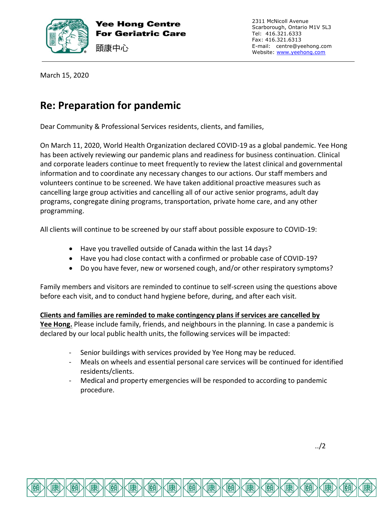

Yee Hong Centre **For Geriatric Care** 頤康中心

2311 McNicoll Avenue Scarborough, Ontario M1V 5L3 Tel: 416.321.6333 Fax: 416.321.6313 E-mail: centre@yeehong.com Website: [www.yeehong.com](http://www.yeehong.com/)

March 15, 2020

## **Re: Preparation for pandemic**

Dear Community & Professional Services residents, clients, and families,

On March 11, 2020, World Health Organization declared COVID-19 as a global pandemic. Yee Hong has been actively reviewing our pandemic plans and readiness for business continuation. Clinical and corporate leaders continue to meet frequently to review the latest clinical and governmental information and to coordinate any necessary changes to our actions. Our staff members and volunteers continue to be screened. We have taken additional proactive measures such as cancelling large group activities and cancelling all of our active senior programs, adult day programs, congregate dining programs, transportation, private home care, and any other programming.

All clients will continue to be screened by our staff about possible exposure to COVID-19:

- Have you travelled outside of Canada within the last 14 days?
- Have you had close contact with a confirmed or probable case of COVID-19?
- Do you have fever, new or worsened cough, and/or other respiratory symptoms?

Family members and visitors are reminded to continue to self-screen using the questions above before each visit, and to conduct hand hygiene before, during, and after each visit.

**Clients and families are reminded to make contingency plans if services are cancelled by Yee Hong.** Please include family, friends, and neighbours in the planning. In case a pandemic is declared by our local public health units, the following services will be impacted:

- Senior buildings with services provided by Yee Hong may be reduced.
- Meals on wheels and essential personal care services will be continued for identified residents/clients.
- Medical and property emergencies will be responded to according to pandemic procedure.